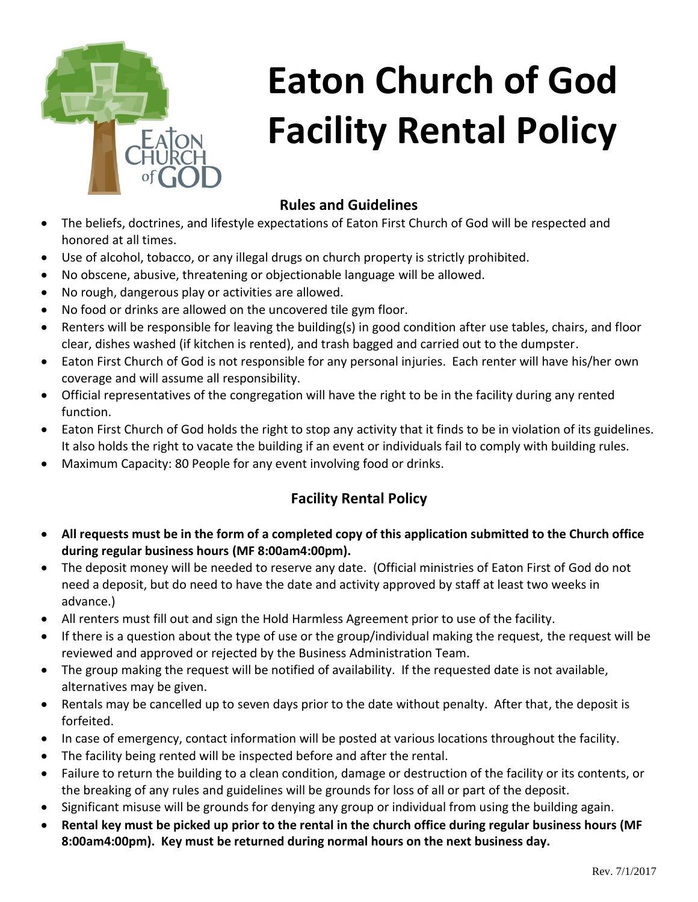

# **Eaton Church of God Facility Rental Policy**

## **Rules and Guidelines**

- The beliefs, doctrines, and lifestyle expectations of Eaton First Church of God will be respected and honored at all times.
- Use of alcohol, tobacco, or any illegal drugs on church property is strictly prohibited.
- No obscene, abusive, threatening or objectionable language will be allowed.
- No rough, dangerous play or activities are allowed.
- No food or drinks are allowed on the uncovered tile gym floor.
- Renters will be responsible for leaving the building(s) in good condition after use tables, chairs, and floor clear, dishes washed (if kitchen is rented), and trash bagged and carried out to the dumpster.
- Eaton First Church of God is not responsible for any personal injuries. Each renter will have his/her own coverage and will assume all responsibility.
- Official representatives of the congregation will have the right to be in the facility during any rented function.
- Eaton First Church of God holds the right to stop any activity that it finds to be in violation of its guidelines. It also holds the right to vacate the building if an event or individuals fail to comply with building rules.
- Maximum Capacity: 80 People for any event involving food or drinks.

#### **Facility Rental Policy**

- **All requests must be in the form of a completed copy of this application submitted to the Church office during regular business hours (MF 8:00am4:00pm).**
- The deposit money will be needed to reserve any date. (Official ministries of Eaton First of God do not need a deposit, but do need to have the date and activity approved by staff at least two weeks in advance.)
- All renters must fill out and sign the Hold Harmless Agreement prior to use of the facility.
- If there is a question about the type of use or the group/individual making the request, the request will be reviewed and approved or rejected by the Business Administration Team.
- The group making the request will be notified of availability. If the requested date is not available, alternatives may be given.
- Rentals may be cancelled up to seven days prior to the date without penalty. After that, the deposit is forfeited.
- In case of emergency, contact information will be posted at various locations throughout the facility.
- The facility being rented will be inspected before and after the rental.
- Failure to return the building to a clean condition, damage or destruction of the facility or its contents, or the breaking of any rules and guidelines will be grounds for loss of all or part of the deposit.
- Significant misuse will be grounds for denying any group or individual from using the building again.
- **Rental key must be picked up prior to the rental in the church office during regular business hours (MF 8:00am4:00pm). Key must be returned during normal hours on the next business day.**